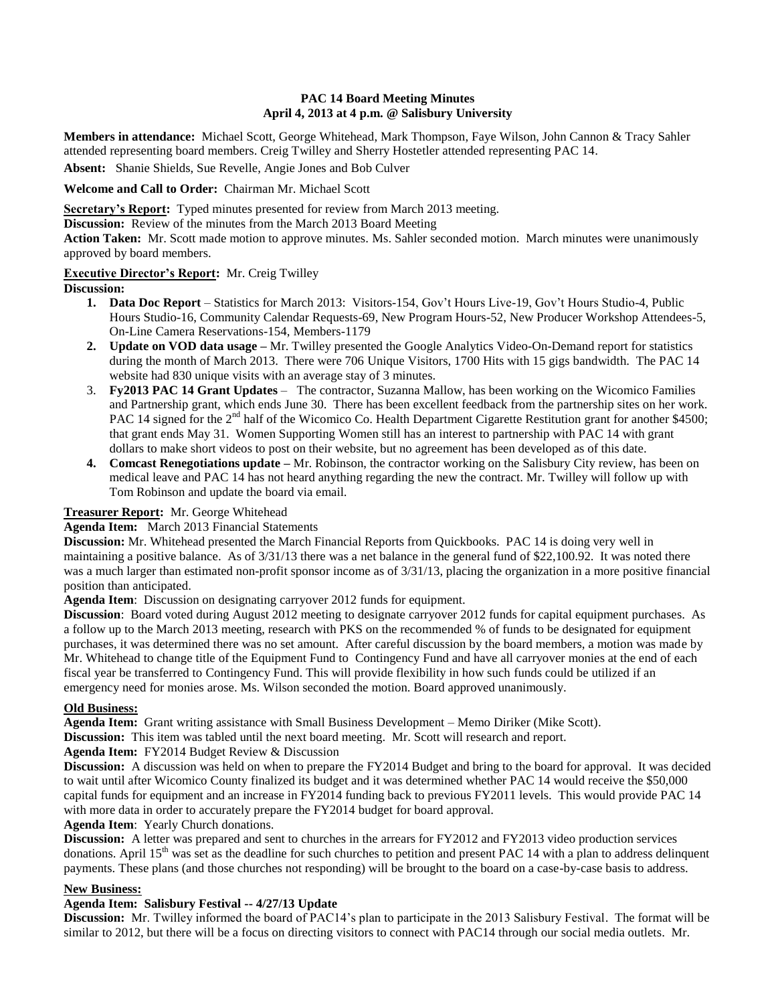# **PAC 14 Board Meeting Minutes April 4, 2013 at 4 p.m. @ Salisbury University**

**Members in attendance:** Michael Scott, George Whitehead, Mark Thompson, Faye Wilson, John Cannon & Tracy Sahler attended representing board members. Creig Twilley and Sherry Hostetler attended representing PAC 14.

**Absent:** Shanie Shields, Sue Revelle, Angie Jones and Bob Culver

**Welcome and Call to Order:** Chairman Mr. Michael Scott

**Secretary's Report:** Typed minutes presented for review from March 2013 meeting.

**Discussion:** Review of the minutes from the March 2013 Board Meeting

**Action Taken:** Mr. Scott made motion to approve minutes. Ms. Sahler seconded motion. March minutes were unanimously approved by board members.

## **Executive Director's Report:** Mr. Creig Twilley

**Discussion:**

- **1. Data Doc Report** Statistics for March 2013: Visitors-154, Gov't Hours Live-19, Gov't Hours Studio-4, Public Hours Studio-16, Community Calendar Requests-69, New Program Hours-52, New Producer Workshop Attendees-5, On-Line Camera Reservations-154, Members-1179
- **2. Update on VOD data usage –** Mr. Twilley presented the Google Analytics Video-On-Demand report for statistics during the month of March 2013. There were 706 Unique Visitors, 1700 Hits with 15 gigs bandwidth. The PAC 14 website had 830 unique visits with an average stay of 3 minutes.
- 3. **Fy2013 PAC 14 Grant Updates** The contractor, Suzanna Mallow, has been working on the Wicomico Families and Partnership grant, which ends June 30. There has been excellent feedback from the partnership sites on her work. PAC 14 signed for the 2<sup>nd</sup> half of the Wicomico Co. Health Department Cigarette Restitution grant for another \$4500; that grant ends May 31. Women Supporting Women still has an interest to partnership with PAC 14 with grant dollars to make short videos to post on their website, but no agreement has been developed as of this date.
- **4. Comcast Renegotiations update –** Mr. Robinson, the contractor working on the Salisbury City review, has been on medical leave and PAC 14 has not heard anything regarding the new the contract. Mr. Twilley will follow up with Tom Robinson and update the board via email.

## **Treasurer Report:** Mr. George Whitehead

**Agenda Item:** March 2013 Financial Statements

**Discussion:** Mr. Whitehead presented the March Financial Reports from Quickbooks. PAC 14 is doing very well in maintaining a positive balance. As of 3/31/13 there was a net balance in the general fund of \$22,100.92. It was noted there was a much larger than estimated non-profit sponsor income as of 3/31/13, placing the organization in a more positive financial position than anticipated.

**Agenda Item**: Discussion on designating carryover 2012 funds for equipment.

**Discussion**: Board voted during August 2012 meeting to designate carryover 2012 funds for capital equipment purchases. As a follow up to the March 2013 meeting, research with PKS on the recommended % of funds to be designated for equipment purchases, it was determined there was no set amount. After careful discussion by the board members, a motion was made by Mr. Whitehead to change title of the Equipment Fund to Contingency Fund and have all carryover monies at the end of each fiscal year be transferred to Contingency Fund. This will provide flexibility in how such funds could be utilized if an emergency need for monies arose. Ms. Wilson seconded the motion. Board approved unanimously.

## **Old Business:**

**Agenda Item:** Grant writing assistance with Small Business Development – Memo Diriker (Mike Scott).

**Discussion:** This item was tabled until the next board meeting. Mr. Scott will research and report.

**Agenda Item:** FY2014 Budget Review & Discussion

**Discussion:** A discussion was held on when to prepare the FY2014 Budget and bring to the board for approval. It was decided to wait until after Wicomico County finalized its budget and it was determined whether PAC 14 would receive the \$50,000 capital funds for equipment and an increase in FY2014 funding back to previous FY2011 levels. This would provide PAC 14 with more data in order to accurately prepare the FY2014 budget for board approval.

**Agenda Item**: Yearly Church donations.

**Discussion:** A letter was prepared and sent to churches in the arrears for FY2012 and FY2013 video production services donations. April  $15<sup>th</sup>$  was set as the deadline for such churches to petition and present PAC 14 with a plan to address delinquent payments. These plans (and those churches not responding) will be brought to the board on a case-by-case basis to address.

## **New Business:**

## **Agenda Item: Salisbury Festival -- 4/27/13 Update**

**Discussion:** Mr. Twilley informed the board of PAC14's plan to participate in the 2013 Salisbury Festival. The format will be similar to 2012, but there will be a focus on directing visitors to connect with PAC14 through our social media outlets. Mr.